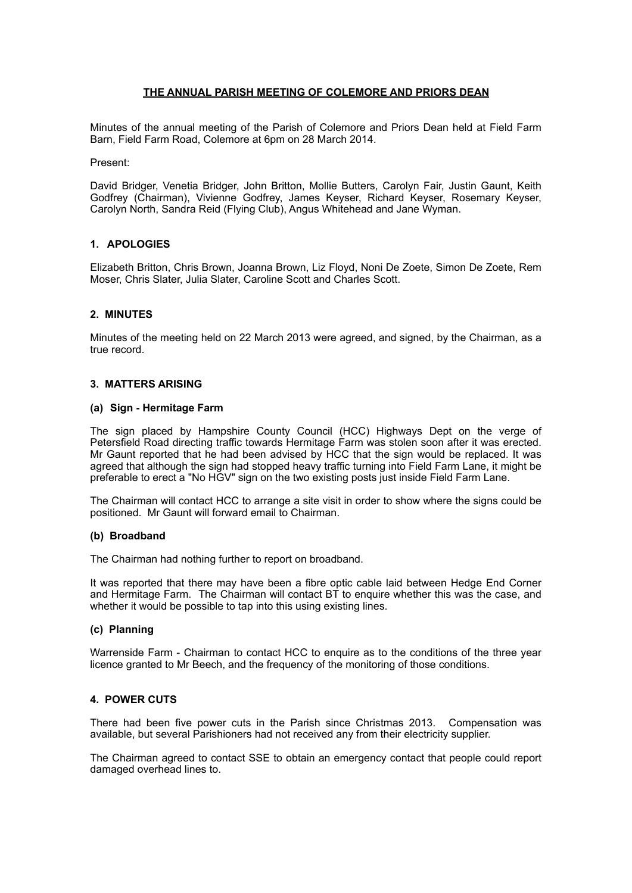## **THE ANNUAL PARISH MEETING OF COLEMORE AND PRIORS DEAN**

Minutes of the annual meeting of the Parish of Colemore and Priors Dean held at Field Farm Barn, Field Farm Road, Colemore at 6pm on 28 March 2014.

Present:

David Bridger, Venetia Bridger, John Britton, Mollie Butters, Carolyn Fair, Justin Gaunt, Keith Godfrey (Chairman), Vivienne Godfrey, James Keyser, Richard Keyser, Rosemary Keyser, Carolyn North, Sandra Reid (Flying Club), Angus Whitehead and Jane Wyman.

### **1. APOLOGIES**

Elizabeth Britton, Chris Brown, Joanna Brown, Liz Floyd, Noni De Zoete, Simon De Zoete, Rem Moser, Chris Slater, Julia Slater, Caroline Scott and Charles Scott.

### **2. MINUTES**

Minutes of the meeting held on 22 March 2013 were agreed, and signed, by the Chairman, as a true record.

#### **3. MATTERS ARISING**

#### **(a) Sign - Hermitage Farm**

The sign placed by Hampshire County Council (HCC) Highways Dept on the verge of Petersfield Road directing traffic towards Hermitage Farm was stolen soon after it was erected. Mr Gaunt reported that he had been advised by HCC that the sign would be replaced. It was agreed that although the sign had stopped heavy traffic turning into Field Farm Lane, it might be preferable to erect a "No HGV" sign on the two existing posts just inside Field Farm Lane.

The Chairman will contact HCC to arrange a site visit in order to show where the signs could be positioned. Mr Gaunt will forward email to Chairman.

### **(b) Broadband**

The Chairman had nothing further to report on broadband.

It was reported that there may have been a fibre optic cable laid between Hedge End Corner and Hermitage Farm. The Chairman will contact BT to enquire whether this was the case, and whether it would be possible to tap into this using existing lines.

### **(c) Planning**

Warrenside Farm - Chairman to contact HCC to enquire as to the conditions of the three year licence granted to Mr Beech, and the frequency of the monitoring of those conditions.

### **4. POWER CUTS**

There had been five power cuts in the Parish since Christmas 2013. Compensation was available, but several Parishioners had not received any from their electricity supplier.

The Chairman agreed to contact SSE to obtain an emergency contact that people could report damaged overhead lines to.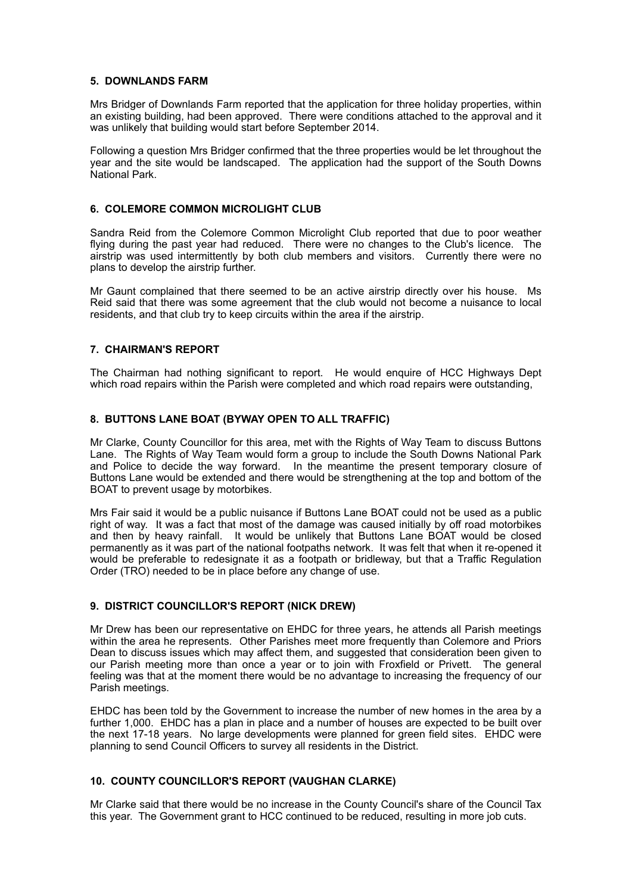### **5. DOWNLANDS FARM**

Mrs Bridger of Downlands Farm reported that the application for three holiday properties, within an existing building, had been approved. There were conditions attached to the approval and it was unlikely that building would start before September 2014.

Following a question Mrs Bridger confirmed that the three properties would be let throughout the year and the site would be landscaped. The application had the support of the South Downs National Park.

## **6. COLEMORE COMMON MICROLIGHT CLUB**

Sandra Reid from the Colemore Common Microlight Club reported that due to poor weather flying during the past year had reduced. There were no changes to the Club's licence. The airstrip was used intermittently by both club members and visitors. Currently there were no plans to develop the airstrip further.

Mr Gaunt complained that there seemed to be an active airstrip directly over his house. Ms Reid said that there was some agreement that the club would not become a nuisance to local residents, and that club try to keep circuits within the area if the airstrip.

# **7. CHAIRMAN'S REPORT**

The Chairman had nothing significant to report. He would enquire of HCC Highways Dept which road repairs within the Parish were completed and which road repairs were outstanding,

### **8. BUTTONS LANE BOAT (BYWAY OPEN TO ALL TRAFFIC)**

Mr Clarke, County Councillor for this area, met with the Rights of Way Team to discuss Buttons Lane. The Rights of Way Team would form a group to include the South Downs National Park and Police to decide the way forward. In the meantime the present temporary closure of Buttons Lane would be extended and there would be strengthening at the top and bottom of the BOAT to prevent usage by motorbikes.

Mrs Fair said it would be a public nuisance if Buttons Lane BOAT could not be used as a public right of way. It was a fact that most of the damage was caused initially by off road motorbikes and then by heavy rainfall. It would be unlikely that Buttons Lane BOAT would be closed permanently as it was part of the national footpaths network. It was felt that when it re-opened it would be preferable to redesignate it as a footpath or bridleway, but that a Traffic Regulation Order (TRO) needed to be in place before any change of use.

# **9. DISTRICT COUNCILLOR'S REPORT (NICK DREW)**

Mr Drew has been our representative on EHDC for three years, he attends all Parish meetings within the area he represents. Other Parishes meet more frequently than Colemore and Priors Dean to discuss issues which may affect them, and suggested that consideration been given to our Parish meeting more than once a year or to join with Froxfield or Privett. The general feeling was that at the moment there would be no advantage to increasing the frequency of our Parish meetings.

EHDC has been told by the Government to increase the number of new homes in the area by a further 1,000. EHDC has a plan in place and a number of houses are expected to be built over the next 17-18 years. No large developments were planned for green field sites. EHDC were planning to send Council Officers to survey all residents in the District.

# **10. COUNTY COUNCILLOR'S REPORT (VAUGHAN CLARKE)**

Mr Clarke said that there would be no increase in the County Council's share of the Council Tax this year. The Government grant to HCC continued to be reduced, resulting in more job cuts.